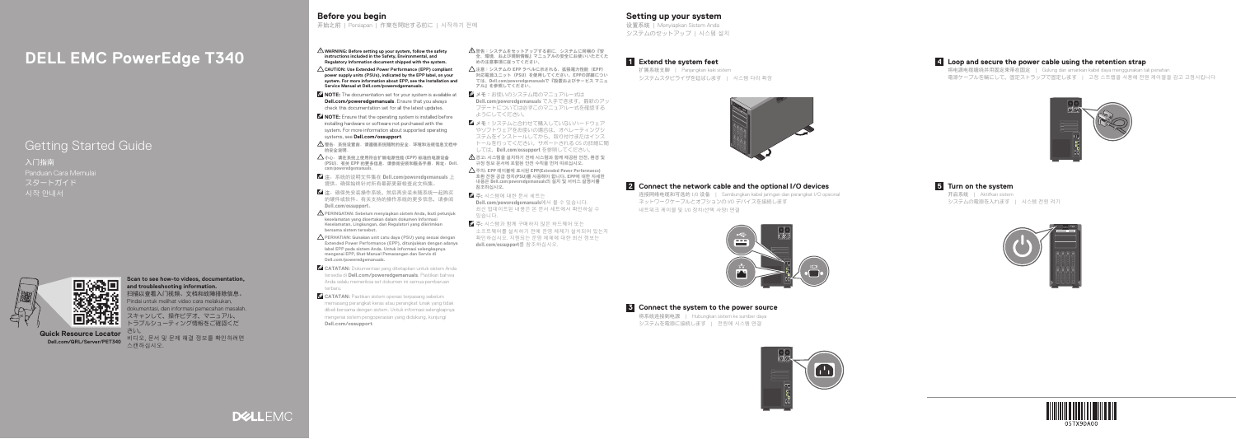# **DELL EMC PowerEdge T340**

# Getting Started Guide

入门指南 Panduan Cara Memulai スタートガイド 시작 안내서



**Dell.com/QRL/Server/PET340** 스캔하십시오. **Quick Resource Locator**

**Scan to see how-to videos, documentation, and troubleshooting information.** 扫描以查看入门视频、文档和故障排除信息。 Pindai untuk melihat video cara melakukan, dokumentasi, dan informasi pemecahan masalah. スキャンして、操作ビデオ、マニュアル、 トラブルシューティング情報をご確認くだ

さい。 비디오, 문서 및 문제 해결 정보를 확인하려면

- **WARNING: Before setting up your system, follow the safety instructions included in the Safety, Environmental, and Regulatory Information document shipped with the system.**
- **CAUTION: Use Extended Power Performance (EPP) compliant power supply units (PSUs), indicated by the EPP label, on your system. For more information about EPP, see the Installation and Service Manual at Dell.com/poweredgemanuals.**
- **NOTE:** The documentation set for your system is available at **Dell.com/poweredgemanuals**. Ensure that you always check this documentation set for all the latest updates.
- **NOTE:** Ensure that the operating system is installed before installing hardware or software not purchased with the system. For more information about supported operating systems, see **Dell.com/ossupport**.
- $\triangle$ 警告:系统设置前,请遵循系统随附的安全、环境和法规信息文档中 的安全说明。
- $\Delta$ 小心: 请在系统上使用符合扩展电源性能 (EPP) 标准的电源设备 (PSU)。有关 EPP 的更多信息,请参阅安装和服务手册,网址:Dell. com/poweredgemanuals。
- 注: 系统的说明文件集在 Dell.com/poweredgemanuals 上 提供。确保始终针对所有最新更新检查此文档集。
- ■注: 确保先安装操作系统,然后再安装未随系统一起购买 一<br>的硬件或软件。有关支持的操作系统的更多信息,请参阅 Dell.com/ossupport。
- **PERINGATAN: Sebelum menyiapkan sistem Anda, ikuti petunjuk keselamatan yang disertakan dalam dokumen Informasi Keselamatan, Lingkungan, dan Regulatori yang dikirimkan bersama sistem tersebut.**
- **PERHATIAN: Gunakan unit catu daya (PSU) yang sesuai dengan Extended Power Performance (EPP), ditunjukkan dengan adanya label EPP pada sistem Anda. Untuk informasi selengkapnya mengenai EPP, lihat Manual Pemasangan dan Servis di Dell.com/poweredgemanuals.**
- **CATATAN:** Dokumentasi yang ditetapkan untuk sistem Anda tersedia di **Dell.com/poweredgemanuals**. Pastikan bahwa Anda selalu memeriksa set dokumen ini semua pembaruan terbaru.
- **CATATAN:** Pastikan sistem operasi terpasang sebelum memasang perangkat keras atau perangkat lunak yang tidak dibeli bersama dengan sistem. Untuk informasi selengkapnya mengenai sistem pengoperasian yang didukung, kunjungi **Dell.com/ossupport**.
- △ 警告: システムをセットアップする前に、システムに同梱の『安 全、環境、および規制情報』マニュアルの安全にお使いいただくた めの注意事項に従ってください。
- $\triangle$  注意:システムの EPP ラベルに示される、拡張電力性能(EPP) 対応電源ユニット(PSU)を使用してください。EPPの詳細につい ては、Dell.com/poweredgemanualsで『設置およびサービス マニュ アル』を参照してください。
- メモ:お使いのシステム用のマニュアル一式は Dell.com/poweredgemanuals で入手できます。最新のアッ プデートについては必ずこのマニュアル一式を確認する ようにしてください。
- クメモ: システムと合わせて購入していないハードウェア やソフトウェアをお使いの場合は、オペレーティングシ ステムをインストールしてから、取り付けまたはインス トールを行ってください。サポートされる OS の詳細に関 しては、Dell.com/ossupport を参照してください。
- $\triangle$  경고: 시스템을 설치하기 전에 시스템과 함께 제공된 안전, 환경 및 규정 정보 문서에 포함된 안전 수칙을 먼저 따르십시오.
- 주의: EPP 레이블에 표시된 EPP(Extended Power Performance) 호환 전원 공급 장치(PSU)를 사용해야 합니다. EPP에 대한 자세한 내용은 Dell.com/poweredgemanuals의 설치 및 서비스 설명서를 참조하십시오.
- $\mathscr{O}$  주: 시스템에 대한 문서 세트는 Dell.com/poweredgemanuals에서 볼 수 있습니다. 최신 업데이트된 내용은 본 문서 세트에서 확인하실 수 있습니다.
- 주: 시스템과 함께 구매하지 않은 하드웨어 또는 소프트웨어를 설치하기 전에 운영 체제가 설치되어 있는지 확인하십시오. 지원되는 운영 체제에 대한 최신 정보는 dell.com/ossupport를 참조하십시오.

连接网络电缆和可选的 I/O 设备 | Sambungkan kabel jaringan dan perangkat I/O opsional ネットワークケーブルとオプションの I/O デバイスを接続します 네트워크 케이블 및 I/O 장치(선택 사양) 연결

**Connect the system to the power source 3** 将系统连接到电源 | Hubungkan sistem ke sumber daya システムを電源に接続します | 전원에 시스템 연결



将电源电缆缠绕并用固定束带在固定 | Gulung dan amankan kabel daya menggunakan tali penahan 電源ケーブルを輪にして、固定ストラップで固定します | 고정 스트랩을 사용해 전원 케이블을 감고 고정시킵니다



# **Before you begin**

开始之前 | Persiapan | 作業を開始する前に | 시작하기 전에

**Setting up your system** 设置系统 | Menyiapkan Sistem Anda

システムのセットアップ | 시스템 설치

# **Connect the network cable and the optional I/O devices 2**





# **Loop and secure the power cable using the retention strap 4**

**Extend the system feet 1**

扩展系统支脚 | Panjangkan kaki sistem システムスタビライザを延ばします | 시스템 다리 확장



# **Turn on the system 5**

开启系统 | Aktifkan sistem システムの電源を入れます | 시스템 전원 켜기